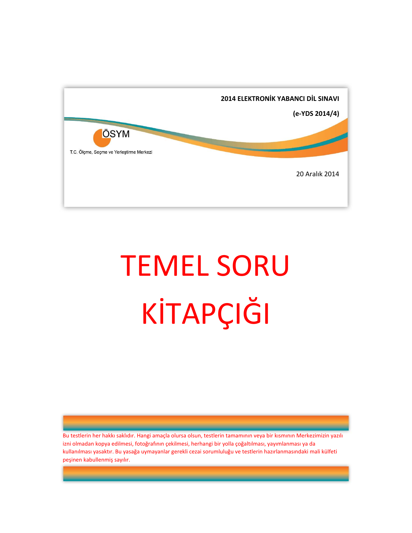

# TEMEL SORU KİTAPÇIĞI

Bu testlerin her hakkı saklıdır. Hangi amaçla olursa olsun, testlerin tamamının veya bir kısmının Merkezimizin yazılı izni olmadan kopya edilmesi, fotoğrafının çekilmesi, herhangi bir yolla çoğaltılması, yayımlanması ya da kullanılması yasaktır. Bu yasağa uymayanlar gerekli cezai sorumluluğu ve testlerin hazırlanmasındaki mali külfeti peşinen kabullenmiş sayılır.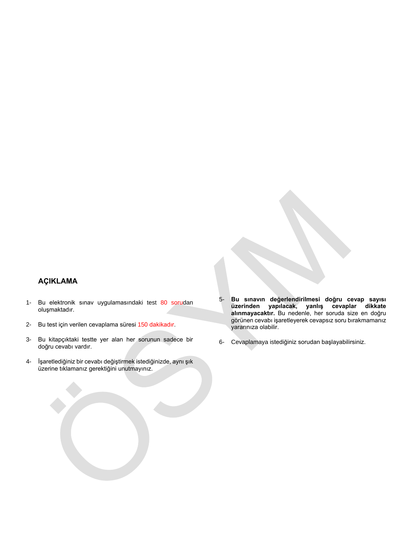# **AÇIKLAMA**

- 1- Bu elektronik sınav uygulamasındaki test 80 sorudan oluşmaktadır.
- 2- Bu test için verilen cevaplama süresi 150 dakikadır.
- 3- Bu kitapçıktaki testte yer alan her sorunun sadece bir doğru cevabı vardır.
- 4- İşaretlediğiniz bir cevabı değiştirmek istediğinizde, aynı şık üzerine tıklamanız gerektiğini unutmayınız.
- 5- **Bu sınavın değerlendirilmesi doğru cevap sayısı üzerinden yapılacak, yanlış cevaplar dikkate alınmayacaktır.** Bu nedenle, her soruda size en doğru görünen cevabı işaretleyerek cevapsız soru bırakmamanız yararınıza olabilir.
- 6- Cevaplamaya istediğiniz sorudan başlayabilirsiniz.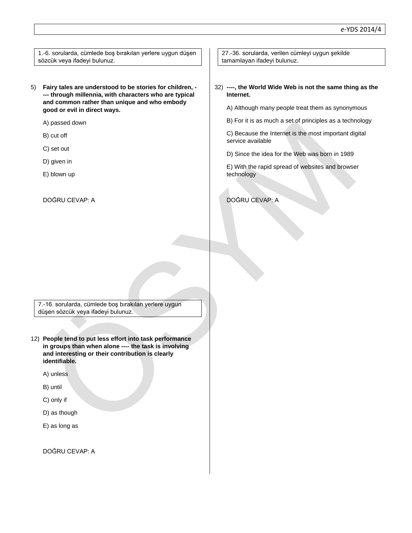1.-6. sorularda, cümlede boş bırakılan yerlere uygun düşen sözcük veya ifadeyi bulunuz.

5) **Fairy tales are understood to be stories for children, - --- through millennia, with characters who are typical and common rather than unique and who embody good or evil in direct ways.**

A) passed down

- B) cut off
- C) set out
- D) given in
- E) blown up

DOĞRU CEVAP: A

27.-36. sorularda, verilen cümleyi uygun şekilde tamamlayan ifadeyi bulunuz.

#### 32) **----, the World Wide Web is not the same thing as the Internet.**

A) Although many people treat them as synonymous

B) For it is as much a set of principles as a technology

C) Because the Internet is the most important digital service available

D) Since the idea for the Web was born in 1989

E) With the rapid spread of websites and browser technology

DOĞRU CEVAP: A

7.-16. sorularda, cümlede boş bırakılan yerlere uygun düşen sözcük veya ifadeyi bulunuz.

12) **People tend to put less effort into task performance in groups than when alone ---- the task is involving and interesting or their contribution is clearly identifiable.**

A) unless

B) until

- C) only if
- D) as though
- E) as long as

DOĞRU CEVAP: A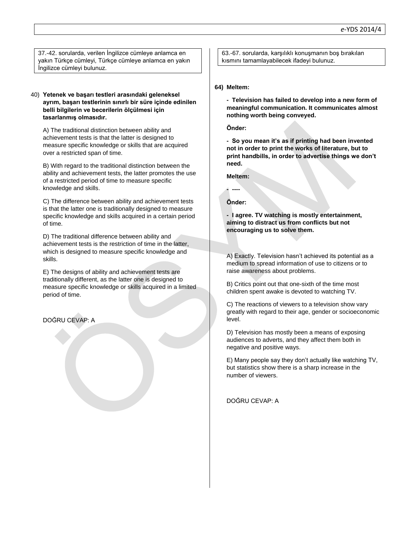37.-42. sorularda, verilen İngilizce cümleye anlamca en yakın Türkçe cümleyi, Türkçe cümleye anlamca en yakın İngilizce cümleyi bulunuz.

#### 40) **Yetenek ve başarı testleri arasındaki geleneksel ayrım, başarı testlerinin sınırlı bir süre içinde edinilen belli bilgilerin ve becerilerin ölçülmesi için tasarlanmış olmasıdır.**

A) The traditional distinction between ability and achievement tests is that the latter is designed to measure specific knowledge or skills that are acquired over a restricted span of time.

B) With regard to the traditional distinction between the ability and achievement tests, the latter promotes the use of a restricted period of time to measure specific knowledge and skills.

C) The difference between ability and achievement tests is that the latter one is traditionally designed to measure specific knowledge and skills acquired in a certain period of time.

D) The traditional difference between ability and achievement tests is the restriction of time in the latter, which is designed to measure specific knowledge and skills.

E) The designs of ability and achievement tests are traditionally different, as the latter one is designed to measure specific knowledge or skills acquired in a limited period of time.

DOĞRU CEVAP: A

63.-67. sorularda, karşılıklı konuşmanın boş bırakılan kısmını tamamlayabilecek ifadeyi bulunuz.

#### **64) Meltem:**

**- Television has failed to develop into a new form of meaningful communication. It communicates almost nothing worth being conveyed.**

**Önder:**

**- So you mean it's as if printing had been invented not in order to print the works of literature, but to print handbills, in order to advertise things we don't need.**

**Meltem:**

## **Önder:**

**- ----**

**- I agree. TV watching is mostly entertainment, aiming to distract us from conflicts but not encouraging us to solve them.**

A) Exactly. Television hasn't achieved its potential as a medium to spread information of use to citizens or to raise awareness about problems.

B) Critics point out that one-sixth of the time most children spent awake is devoted to watching TV.

C) The reactions of viewers to a television show vary greatly with regard to their age, gender or socioeconomic level.

D) Television has mostly been a means of exposing audiences to adverts, and they affect them both in negative and positive ways.

E) Many people say they don't actually like watching TV, but statistics show there is a sharp increase in the number of viewers.

DOĞRU CEVAP: A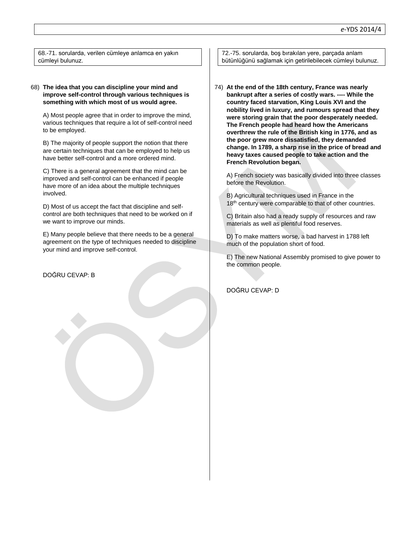68.-71. sorularda, verilen cümleye anlamca en yakın cümleyi bulunuz.

### 68) **The idea that you can discipline your mind and improve self-control through various techniques is something with which most of us would agree.**

A) Most people agree that in order to improve the mind, various techniques that require a lot of self-control need to be employed.

B) The majority of people support the notion that there are certain techniques that can be employed to help us have better self-control and a more ordered mind.

C) There is a general agreement that the mind can be improved and self-control can be enhanced if people have more of an idea about the multiple techniques involved.

D) Most of us accept the fact that discipline and selfcontrol are both techniques that need to be worked on if we want to improve our minds.

E) Many people believe that there needs to be a general agreement on the type of techniques needed to discipline your mind and improve self-control.

DOĞRU CEVAP: B

72.-75. sorularda, boş bırakılan yere, parçada anlam bütünlüğünü sağlamak için getirilebilecek cümleyi bulunuz.

74) **At the end of the 18th century, France was nearly bankrupt after a series of costly wars. ---- While the country faced starvation, King Louis XVI and the nobility lived in luxury, and rumours spread that they were storing grain that the poor desperately needed. The French people had heard how the Americans overthrew the rule of the British king in 1776, and as the poor grew more dissatisfied, they demanded change. In 1789, a sharp rise in the price of bread and heavy taxes caused people to take action and the French Revolution began.**

A) French society was basically divided into three classes before the Revolution.

B) Agricultural techniques used in France in the 18<sup>th</sup> century were comparable to that of other countries.

C) Britain also had a ready supply of resources and raw materials as well as plentiful food reserves.

D) To make matters worse, a bad harvest in 1788 left much of the population short of food.

E) The new National Assembly promised to give power to the common people.

DOĞRU CEVAP: D